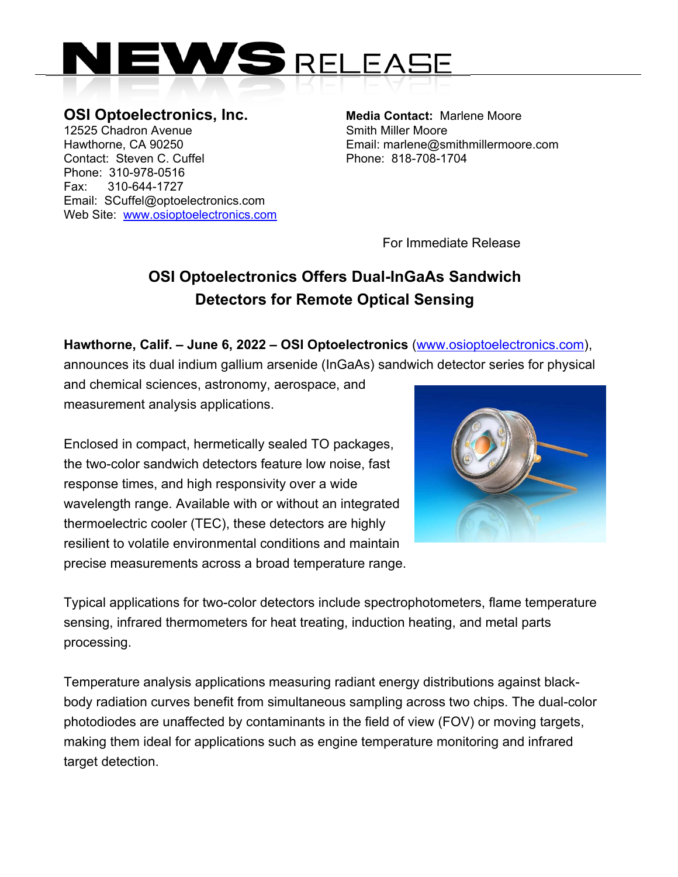

**OSI Optoelectronics, Inc.** Media Contact: Marlene Moore 12525 Chadron Avenue **SMITH SMITH SMITH SMITH MILLER** Moore Hawthorne, CA 90250 Email: marlene@smithmillermoore.com Contact: Steven C. Cuffel **Phone: 818-708-1704** Phone: 310-978-0516 Fax: 310-644-1727 Email: SCuffel@optoelectronics.com Web Site: www.osioptoelectronics.com

For Immediate Release

## **OSI Optoelectronics Offers Dual-InGaAs Sandwich Detectors for Remote Optical Sensing**

**Hawthorne, Calif. – June 6, 2022 – OSI Optoelectronics** (www.osioptoelectronics.com),

announces its dual indium gallium arsenide (InGaAs) sandwich detector series for physical

and chemical sciences, astronomy, aerospace, and measurement analysis applications.

Enclosed in compact, hermetically sealed TO packages, the two-color sandwich detectors feature low noise, fast response times, and high responsivity over a wide wavelength range. Available with or without an integrated thermoelectric cooler (TEC), these detectors are highly resilient to volatile environmental conditions and maintain precise measurements across a broad temperature range.



Typical applications for two-color detectors include spectrophotometers, flame temperature sensing, infrared thermometers for heat treating, induction heating, and metal parts processing.

Temperature analysis applications measuring radiant energy distributions against blackbody radiation curves benefit from simultaneous sampling across two chips. The dual-color photodiodes are unaffected by contaminants in the field of view (FOV) or moving targets, making them ideal for applications such as engine temperature monitoring and infrared target detection.